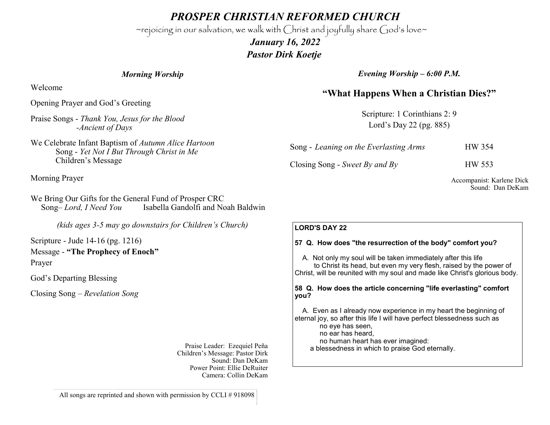*PROSPER CHRISTIAN REFORMED CHURCH*

~rejoicing in our salvation, we walk with Christ and joyfully share God's love~

 *January 16, 2022 Pastor Dirk Koetje* 

#### *Morning Worship*

Welcome

Opening Prayer and God's Greeting

Praise Songs - *Thank You, Jesus for the Blood -Ancient of Days*

We Celebrate Infant Baptism of *Autumn Alice Hartoon*  Song - *Yet Not I But Through Christ in Me* Children's Message

Morning Prayer

We Bring Our Gifts for the General Fund of Prosper CRC Song– *Lord, I Need You* Isabella Gandolfi and Noah Baldwin

*(kids ages 3-5 may go downstairs for Children's Church)*

Scripture - Jude 14-16 (pg. 1216) Message - **"The Prophecy of Enoch"** Prayer

God's Departing Blessing

Closing Song – *Revelation Song*

Praise Leader: Ezequiel Peña Children's Message: Pastor Dirk Sound: Dan DeKam Power Point: Ellie DeRuiter Camera: Collin DeKam *Evening Worship – 6:00 P.M.*

# **"What Happens When a Christian Dies?"**

Scripture: 1 Corinthians 2: 9 Lord's Day 22 (pg. 885)

| Song - Leaning on the Everlasting Arms | <b>HW 354</b> |
|----------------------------------------|---------------|
| Closing Song - Sweet By and By         | <b>HW 553</b> |

Accompanist: Karlene Dick Sound: Dan DeKam

### **LORD'S DAY 22**

#### **57 Q. How does "the resurrection of the body" comfort you?**

 A. Not only my soul will be taken immediately after this life to Christ its head, but even my very flesh, raised by the power of Christ, will be reunited with my soul and made like Christ's glorious body.

#### **58 Q. How does the article concerning "life everlasting" comfort you?**

 A. Even as I already now experience in my heart the beginning of eternal joy, so after this life I will have perfect blessedness such as

no eye has seen,

no ear has heard,

no human heart has ever imagined:

a blessedness in which to praise God eternally.